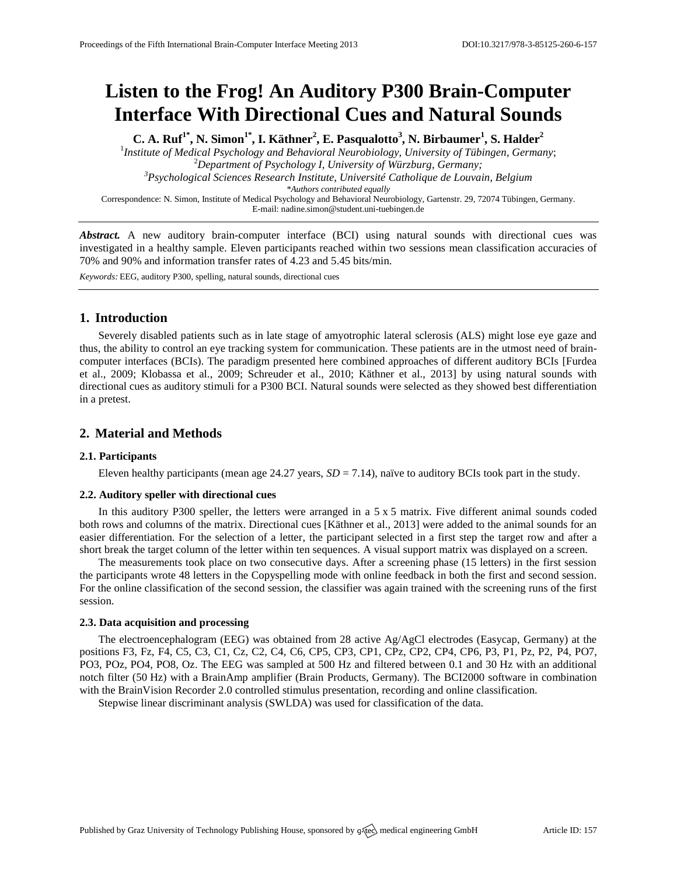# **Listen to the Frog! An Auditory P300 Brain-Computer Interface With Directional Cues and Natural Sounds**

**C. A. Ruf1\* , N. Simon1\* , I. Käthner<sup>2</sup> , E. Pasqualotto<sup>3</sup> , N. Birbaumer<sup>1</sup> , S. Halder<sup>2</sup>** <sup>1</sup> Institute of Medical Psychology and Behavioral Neurobiology, University of Tübingen, Germany; <sup>2</sup>*Department of Psychology I, University of Würzburg, Germany; <sup>3</sup>Psychological Sciences Research Institute, Université Catholique de Louvain, Belgium \*Authors contributed equally* Correspondence: N. Simon, Institute of Medical Psychology and Behavioral Neurobiology, Gartenstr. 29, 72074 Tübingen, Germany. E-mail[: nadine.simon@student.uni-tuebingen.de](mailto:nadine.simon@student.uni-tuebingen.de)

Abstract. A new auditory brain-computer interface (BCI) using natural sounds with directional cues was investigated in a healthy sample. Eleven participants reached within two sessions mean classification accuracies of 70% and 90% and information transfer rates of 4.23 and 5.45 bits/min.

*Keywords:* EEG, auditory P300, spelling, natural sounds, directional cues

## **1. Introduction**

Severely disabled patients such as in late stage of amyotrophic lateral sclerosis (ALS) might lose eye gaze and thus, the ability to control an eye tracking system for communication. These patients are in the utmost need of braincomputer interfaces (BCIs). The paradigm presented here combined approaches of different auditory BCIs [Furdea et al., 2009; Klobassa et al., 2009; Schreuder et al., 2010; Käthner et al., 2013] by using natural sounds with directional cues as auditory stimuli for a P300 BCI. Natural sounds were selected as they showed best differentiation in a pretest.

# **2. Material and Methods**

## **2.1. Participants**

Eleven healthy participants (mean age 24.27 years, *SD* = 7.14), naïve to auditory BCIs took part in the study.

## **2.2. Auditory speller with directional cues**

In this auditory P300 speller, the letters were arranged in a  $5 \times 5$  matrix. Five different animal sounds coded both rows and columns of the matrix. Directional cues [Käthner et al., 2013] were added to the animal sounds for an easier differentiation. For the selection of a letter, the participant selected in a first step the target row and after a short break the target column of the letter within ten sequences. A visual support matrix was displayed on a screen.

The measurements took place on two consecutive days. After a screening phase (15 letters) in the first session the participants wrote 48 letters in the Copyspelling mode with online feedback in both the first and second session. For the online classification of the second session, the classifier was again trained with the screening runs of the first session.

#### **2.3. Data acquisition and processing**

The electroencephalogram (EEG) was obtained from 28 active Ag/AgCl electrodes (Easycap, Germany) at the positions F3, Fz, F4, C5, C3, C1, Cz, C2, C4, C6, CP5, CP3, CP1, CPz, CP2, CP4, CP6, P3, P1, Pz, P2, P4, PO7, PO3, POz, PO4, PO8, Oz. The EEG was sampled at 500 Hz and filtered between 0.1 and 30 Hz with an additional notch filter (50 Hz) with a BrainAmp amplifier (Brain Products, Germany). The BCI2000 software in combination with the BrainVision Recorder 2.0 controlled stimulus presentation, recording and online classification.

Stepwise linear discriminant analysis (SWLDA) was used for classification of the data.